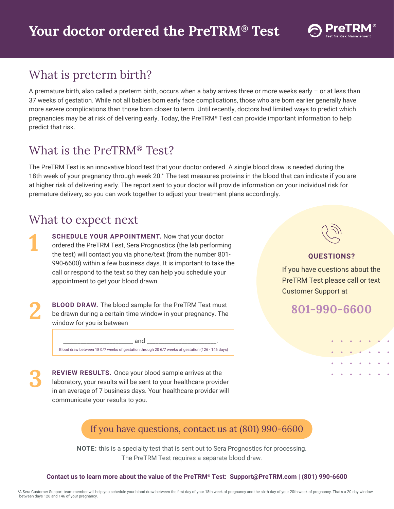

## What is preterm birth?

A premature birth, also called a preterm birth, occurs when a baby arrives three or more weeks early – or at less than 37 weeks of gestation. While not all babies born early face complications, those who are born earlier generally have more severe complications than those born closer to term. Until recently, doctors had limited ways to predict which pregnancies may be at risk of delivering early. Today, the PreTRM® Test can provide important information to help predict that risk.

## What is the PreTRM® Test?

The PreTRM Test is an innovative blood test that your doctor ordered. A single blood draw is needed during the 18th week of your pregnancy through week 20.\* The test measures proteins in the blood that can indicate if you are at higher risk of delivering early. The report sent to your doctor will provide information on your individual risk for premature delivery, so you can work together to adjust your treatment plans accordingly.

## What to expect next

**1**

**2**

**3**

**SCHEDULE YOUR APPOINTMENT.** Now that your doctor ordered the PreTRM Test, Sera Prognostics (the lab performing the test) will contact you via phone/text (from the number 801- 990-6600) within a few business days. It is important to take the call or respond to the text so they can help you schedule your appointment to get your blood drawn.

**BLOOD DRAW.** The blood sample for the PreTRM Test must be drawn during a certain time window in your pregnancy. The window for you is between

\_\_\_\_\_\_\_\_\_\_\_\_\_\_\_\_\_\_\_\_\_\_\_\_ and \_\_\_\_\_\_\_\_\_\_\_\_\_\_\_\_\_\_\_\_\_\_\_\_.

Blood draw between 18 0/7 weeks of gestation through 20 6/7 weeks of gestation (126 - 146 days)

**REVIEW RESULTS.** Once your blood sample arrives at the laboratory, your results will be sent to your healthcare provider in an average of 7 business days. Your healthcare provider will communicate your results to you.



### **QUESTIONS?**

If you have questions about the PreTRM Test please call or text Customer Support at

**801-990-6600**

## If you have questions, contact us at (801) 990-6600

**NOTE:** this is a specialty test that is sent out to Sera Prognostics for processing. The PreTRM Test requires a separate blood draw.

#### **Contact us to learn more about the value of the PreTRM® Test: Support@PreTRM.com | (801) 990-6600**